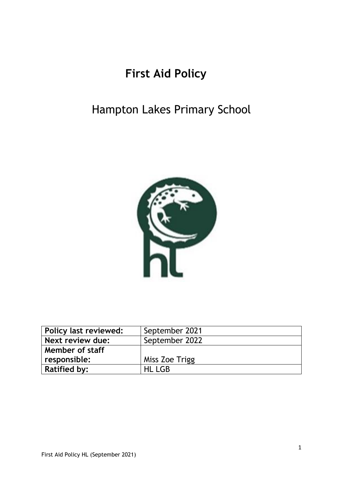# **First Aid Policy**

# Hampton Lakes Primary School



| Policy last reviewed: | September 2021 |
|-----------------------|----------------|
| Next review due:      | September 2022 |
| Member of staff       |                |
| responsible:          | Miss Zoe Trigg |
| <b>Ratified by:</b>   | <b>HL LGB</b>  |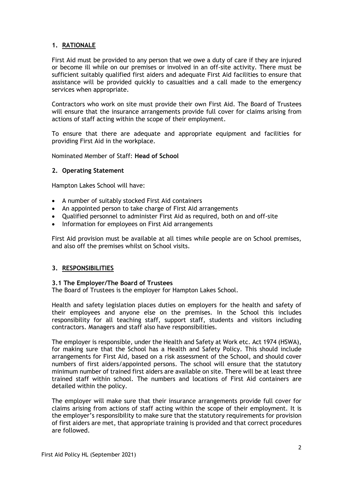# **1. RATIONALE**

First Aid must be provided to any person that we owe a duty of care if they are injured or become ill while on our premises or involved in an off-site activity. There must be sufficient suitably qualified first aiders and adequate First Aid facilities to ensure that assistance will be provided quickly to casualties and a call made to the emergency services when appropriate.

Contractors who work on site must provide their own First Aid. The Board of Trustees will ensure that the insurance arrangements provide full cover for claims arising from actions of staff acting within the scope of their employment.

To ensure that there are adequate and appropriate equipment and facilities for providing First Aid in the workplace.

Nominated Member of Staff: **Head of School**

# **2. Operating Statement**

Hampton Lakes School will have:

- A number of suitably stocked First Aid containers
- An appointed person to take charge of First Aid arrangements
- Qualified personnel to administer First Aid as required, both on and off-site
- Information for employees on First Aid arrangements

First Aid provision must be available at all times while people are on School premises, and also off the premises whilst on School visits.

### **3. RESPONSIBILITIES**

## **3.1 The Employer/The Board of Trustees**

The Board of Trustees is the employer for Hampton Lakes School.

Health and safety legislation places duties on employers for the health and safety of their employees and anyone else on the premises. In the School this includes responsibility for all teaching staff, support staff, students and visitors including contractors. Managers and staff also have responsibilities.

The employer is responsible, under the Health and Safety at Work etc. Act 1974 (HSWA), for making sure that the School has a Health and Safety Policy. This should include arrangements for First Aid, based on a risk assessment of the School, and should cover numbers of first aiders/appointed persons. The school will ensure that the statutory minimum number of trained first aiders are available on site. There will be at least three trained staff within school. The numbers and locations of First Aid containers are detailed within the policy.

The employer will make sure that their insurance arrangements provide full cover for claims arising from actions of staff acting within the scope of their employment. It is the employer's responsibility to make sure that the statutory requirements for provision of first aiders are met, that appropriate training is provided and that correct procedures are followed.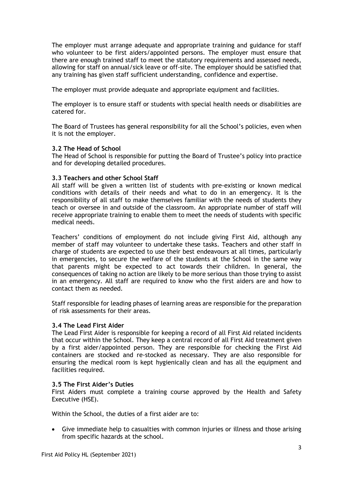The employer must arrange adequate and appropriate training and guidance for staff who volunteer to be first aiders/appointed persons. The employer must ensure that there are enough trained staff to meet the statutory requirements and assessed needs, allowing for staff on annual/sick leave or off-site. The employer should be satisfied that any training has given staff sufficient understanding, confidence and expertise.

The employer must provide adequate and appropriate equipment and facilities.

The employer is to ensure staff or students with special health needs or disabilities are catered for.

The Board of Trustees has general responsibility for all the School's policies, even when it is not the employer.

# **3.2 The Head of School**

The Head of School is responsible for putting the Board of Trustee's policy into practice and for developing detailed procedures.

## **3.3 Teachers and other School Staff**

All staff will be given a written list of students with pre-existing or known medical conditions with details of their needs and what to do in an emergency. It is the responsibility of all staff to make themselves familiar with the needs of students they teach or oversee in and outside of the classroom. An appropriate number of staff will receive appropriate training to enable them to meet the needs of students with specific medical needs.

Teachers' conditions of employment do not include giving First Aid, although any member of staff may volunteer to undertake these tasks. Teachers and other staff in charge of students are expected to use their best endeavours at all times, particularly in emergencies, to secure the welfare of the students at the School in the same way that parents might be expected to act towards their children. In general, the consequences of taking no action are likely to be more serious than those trying to assist in an emergency. All staff are required to know who the first aiders are and how to contact them as needed.

Staff responsible for leading phases of learning areas are responsible for the preparation of risk assessments for their areas.

### **3.4 The Lead First Aider**

The Lead First Aider is responsible for keeping a record of all First Aid related incidents that occur within the School. They keep a central record of all First Aid treatment given by a first aider/appointed person. They are responsible for checking the First Aid containers are stocked and re-stocked as necessary. They are also responsible for ensuring the medical room is kept hygienically clean and has all the equipment and facilities required.

### **3.5 The First Aider's Duties**

First Aiders must complete a training course approved by the Health and Safety Executive (HSE).

Within the School, the duties of a first aider are to:

• Give immediate help to casualties with common injuries or illness and those arising from specific hazards at the school.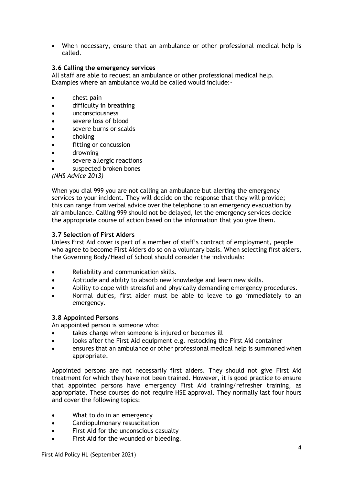• When necessary, ensure that an ambulance or other professional medical help is called.

# **3.6 Calling the emergency services**

All staff are able to request an ambulance or other professional medical help. Examples where an ambulance would be called would include:-

- chest pain
- difficulty in breathing
- unconsciousness
- severe loss of blood
- severe burns or scalds
- choking
- fitting or concussion
- drowning
- severe allergic reactions
- suspected broken bones

# *(NHS Advice 2013)*

When you dial 999 you are not calling an ambulance but alerting the emergency services to your incident. They will decide on the response that they will provide; this can range from verbal advice over the telephone to an emergency evacuation by air ambulance. Calling 999 should not be delayed, let the emergency services decide the appropriate course of action based on the information that you give them.

# **3.7 Selection of First Aiders**

Unless First Aid cover is part of a member of staff's contract of employment, people who agree to become First Aiders do so on a voluntary basis. When selecting first aiders, the Governing Body/Head of School should consider the individuals:

- Reliability and communication skills.
- Aptitude and ability to absorb new knowledge and learn new skills.
- Ability to cope with stressful and physically demanding emergency procedures.
- Normal duties, first aider must be able to leave to go immediately to an emergency.

# **3.8 Appointed Persons**

An appointed person is someone who:

- takes charge when someone is injured or becomes ill
- looks after the First Aid equipment e.g. restocking the First Aid container
- ensures that an ambulance or other professional medical help is summoned when appropriate.

Appointed persons are not necessarily first aiders. They should not give First Aid treatment for which they have not been trained. However, it is good practice to ensure that appointed persons have emergency First Aid training/refresher training, as appropriate. These courses do not require HSE approval. They normally last four hours and cover the following topics:

- What to do in an emergency
- Cardiopulmonary resuscitation
- First Aid for the unconscious casualty
- First Aid for the wounded or bleeding.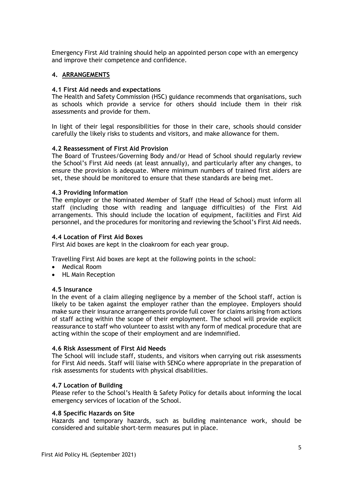Emergency First Aid training should help an appointed person cope with an emergency and improve their competence and confidence.

# **4. ARRANGEMENTS**

# **4.1 First Aid needs and expectations**

The Health and Safety Commission (HSC) guidance recommends that organisations, such as schools which provide a service for others should include them in their risk assessments and provide for them.

In light of their legal responsibilities for those in their care, schools should consider carefully the likely risks to students and visitors, and make allowance for them.

## **4.2 Reassessment of First Aid Provision**

The Board of Trustees/Governing Body and/or Head of School should regularly review the School's First Aid needs (at least annually), and particularly after any changes, to ensure the provision is adequate. Where minimum numbers of trained first aiders are set, these should be monitored to ensure that these standards are being met.

## **4.3 Providing Information**

The employer or the Nominated Member of Staff (the Head of School) must inform all staff (including those with reading and language difficulties) of the First Aid arrangements. This should include the location of equipment, facilities and First Aid personnel, and the procedures for monitoring and reviewing the School's First Aid needs.

## **4.4 Location of First Aid Boxes**

First Aid boxes are kept in the cloakroom for each year group.

Travelling First Aid boxes are kept at the following points in the school:

- Medical Room
- HL Main Reception

### **4.5 Insurance**

In the event of a claim alleging negligence by a member of the School staff, action is likely to be taken against the employer rather than the employee. Employers should make sure their insurance arrangements provide full cover for claims arising from actions of staff acting within the scope of their employment. The school will provide explicit reassurance to staff who volunteer to assist with any form of medical procedure that are acting within the scope of their employment and are indemnified.

### **4.6 Risk Assessment of First Aid Needs**

The School will include staff, students, and visitors when carrying out risk assessments for First Aid needs. Staff will liaise with SENCo where appropriate in the preparation of risk assessments for students with physical disabilities.

# **4.7 Location of Building**

Please refer to the School's Health & Safety Policy for details about informing the local emergency services of location of the School.

### **4.8 Specific Hazards on Site**

Hazards and temporary hazards, such as building maintenance work, should be considered and suitable short-term measures put in place.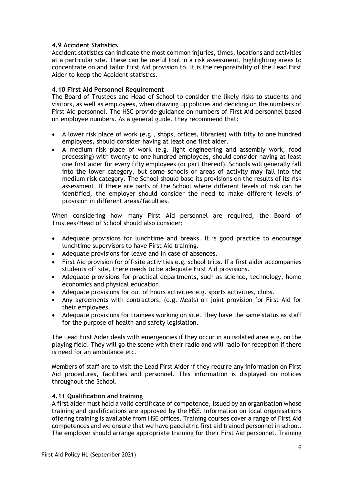# **4.9 Accident Statistics**

Accident statistics can indicate the most common injuries, times, locations and activities at a particular site. These can be useful tool in a risk assessment, highlighting areas to concentrate on and tailor First Aid provision to. It is the responsibility of the Lead First Aider to keep the Accident statistics.

# **4.10 First Aid Personnel Requirement**

The Board of Trustees and Head of School to consider the likely risks to students and visitors, as well as employees, when drawing up policies and deciding on the numbers of First Aid personnel. The HSC provide guidance on numbers of First Aid personnel based on employee numbers. As a general guide, they recommend that:

- A lower risk place of work (e.g., shops, offices, libraries) with fifty to one hundred employees, should consider having at least one first aider.
- A medium risk place of work (e.g. light engineering and assembly work, food processing) with twenty to one hundred employees, should consider having at least one first aider for every fifty employees (or part thereof). Schools will generally fall into the lower category, but some schools or areas of activity may fall into the medium risk category. The School should base its provisions on the results of its risk assessment. If there are parts of the School where different levels of risk can be identified, the employer should consider the need to make different levels of provision in different areas/faculties.

When considering how many First Aid personnel are required, the Board of Trustees/Head of School should also consider:

- Adequate provisions for lunchtime and breaks. It is good practice to encourage lunchtime supervisors to have First Aid training.
- Adequate provisions for leave and in case of absences.
- First Aid provision for off-site activities e.g. school trips. If a first aider accompanies students off site, there needs to be adequate First Aid provisions.
- Adequate provisions for practical departments, such as science, technology, home economics and physical education.
- Adequate provisions for out of hours activities e.g. sports activities, clubs.
- Any agreements with contractors, (e.g. Meals) on joint provision for First Aid for their employees.
- Adequate provisions for trainees working on site. They have the same status as staff for the purpose of health and safety legislation.

The Lead First Aider deals with emergencies if they occur in an isolated area e.g. on the playing field. They will go the scene with their radio and will radio for reception if there is need for an ambulance etc.

Members of staff are to visit the Lead First Aider if they require any information on First Aid procedures, facilities and personnel. This information is displayed on notices throughout the School.

# **4.11 Qualification and training**

A first aider must hold a valid certificate of competence, issued by an organisation whose training and qualifications are approved by the HSE. Information on local organisations offering training is available from HSE offices. Training courses cover a range of First Aid competences and we ensure that we have paediatric first aid trained personnel in school. The employer should arrange appropriate training for their First Aid personnel. Training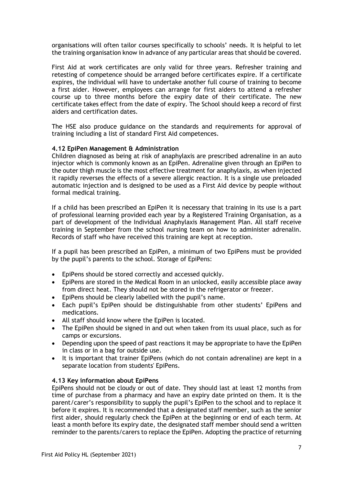organisations will often tailor courses specifically to schools' needs. It is helpful to let the training organisation know in advance of any particular areas that should be covered.

First Aid at work certificates are only valid for three years. Refresher training and retesting of competence should be arranged before certificates expire. If a certificate expires, the individual will have to undertake another full course of training to become a first aider. However, employees can arrange for first aiders to attend a refresher course up to three months before the expiry date of their certificate. The new certificate takes effect from the date of expiry. The School should keep a record of first aiders and certification dates.

The HSE also produce guidance on the standards and requirements for approval of training including a list of standard First Aid competences.

## **4.12 EpiPen Management & Administration**

Children diagnosed as being at risk of anaphylaxis are prescribed adrenaline in an auto injector which is commonly known as an EpiPen. Adrenaline given through an EpiPen to the outer thigh muscle is the most effective treatment for anaphylaxis, as when injected it rapidly reverses the effects of a severe allergic reaction. It is a single use preloaded automatic injection and is designed to be used as a First Aid device by people without formal medical training.

If a child has been prescribed an EpiPen it is necessary that training in its use is a part of professional learning provided each year by a Registered Training Organisation, as a part of development of the Individual Anaphylaxis Management Plan. All staff receive training in September from the school nursing team on how to administer adrenalin. Records of staff who have received this training are kept at reception.

If a pupil has been prescribed an EpiPen, a minimum of two EpiPens must be provided by the pupil's parents to the school. Storage of EpiPens:

- EpiPens should be stored correctly and accessed quickly.
- EpiPens are stored in the Medical Room in an unlocked, easily accessible place away from direct heat. They should not be stored in the refrigerator or freezer.
- EpiPens should be clearly labelled with the pupil's name.
- Each pupil's EpiPen should be distinguishable from other students' EpiPens and medications.
- All staff should know where the EpiPen is located.
- The EpiPen should be signed in and out when taken from its usual place, such as for camps or excursions.
- Depending upon the speed of past reactions it may be appropriate to have the EpiPen in class or in a bag for outside use.
- It is important that trainer EpiPens (which do not contain adrenaline) are kept in a separate location from students' EpiPens.

### **4.13 Key information about EpiPens**

EpiPens should not be cloudy or out of date. They should last at least 12 months from time of purchase from a pharmacy and have an expiry date printed on them. It is the parent/carer's responsibility to supply the pupil's EpiPen to the school and to replace it before it expires. It is recommended that a designated staff member, such as the senior first aider, should regularly check the EpiPen at the beginning or end of each term. At least a month before its expiry date, the designated staff member should send a written reminder to the parents/carers to replace the EpiPen. Adopting the practice of returning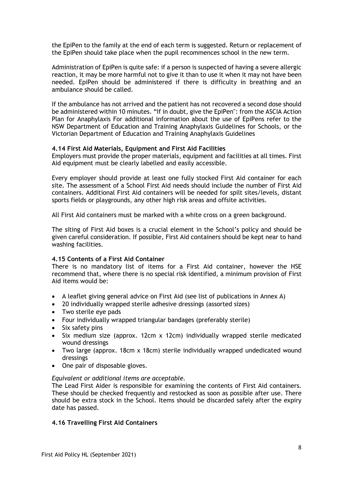the EpiPen to the family at the end of each term is suggested. Return or replacement of the EpiPen should take place when the pupil recommences school in the new term.

Administration of EpiPen is quite safe: if a person is suspected of having a severe allergic reaction, it may be more harmful not to give it than to use it when it may not have been needed. EpiPen should be administered if there is difficulty in breathing and an ambulance should be called.

If the ambulance has not arrived and the patient has not recovered a second dose should be administered within 10 minutes. "If in doubt, give the EpiPen": from the ASCIA Action Plan for Anaphylaxis For additional information about the use of EpiPens refer to the NSW Department of Education and Training Anaphylaxis Guidelines for Schools, or the Victorian Department of Education and Training Anaphylaxis Guidelines

## **4.14 First Aid Materials, Equipment and First Aid Facilities**

Employers must provide the proper materials, equipment and facilities at all times. First Aid equipment must be clearly labelled and easily accessible.

Every employer should provide at least one fully stocked First Aid container for each site. The assessment of a School First Aid needs should include the number of First Aid containers. Additional First Aid containers will be needed for spilt sites/levels, distant sports fields or playgrounds, any other high risk areas and offsite activities.

All First Aid containers must be marked with a white cross on a green background.

The siting of First Aid boxes is a crucial element in the School's policy and should be given careful consideration. If possible, First Aid containers should be kept near to hand washing facilities.

### **4.15 Contents of a First Aid Container**

There is no mandatory list of items for a First Aid container, however the HSE recommend that, where there is no special risk identified, a minimum provision of First Aid items would be:

- A leaflet giving general advice on First Aid (see list of publications in Annex A)
- 20 individually wrapped sterile adhesive dressings (assorted sizes)
- Two sterile eye pads
- Four individually wrapped triangular bandages (preferably sterile)
- Six safety pins
- Six medium size (approx. 12cm x 12cm) individually wrapped sterile medicated wound dressings
- Two large (approx. 18cm x 18cm) sterile individually wrapped undedicated wound dressings
- One pair of disposable gloves.

### *Equivalent or additional items are acceptable.*

The Lead First Aider is responsible for examining the contents of First Aid containers. These should be checked frequently and restocked as soon as possible after use. There should be extra stock in the School. Items should be discarded safely after the expiry date has passed.

# **4.16 Travelling First Aid Containers**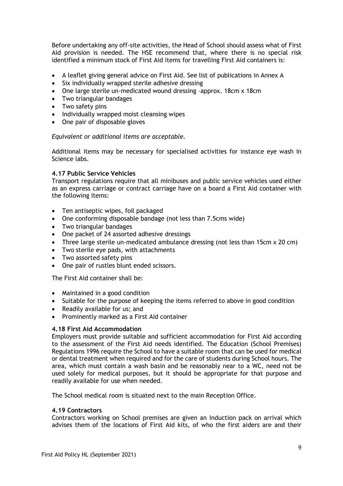Before undertaking any off-site activities, the Head of School should assess what of First Aid provision is needed. The HSE recommend that, where there is no special risk identified a minimum stock of First Aid items for travelling First Aid containers is:

- A leaflet giving general advice on First Aid. See list of publications in Annex A
- Six individually wrapped sterile adhesive dressing
- One large sterile un-medicated wound dressing –approx. 18cm x 18cm
- Two triangular bandages
- Two safety pins
- Individually wrapped moist cleansing wipes
- One pair of disposable gloves

# *Equivalent or additional items are acceptable.*

Additional items may be necessary for specialised activities for instance eye wash in Science labs.

# **4.17 Public Service Vehicles**

Transport regulations require that all minibuses and public service vehicles used either as an express carriage or contract carriage have on a board a First Aid container with the following items:

- Ten antiseptic wipes, foil packaged
- One conforming disposable bandage (not less than 7.5cms wide)
- Two triangular bandages
- One packet of 24 assorted adhesive dressings
- Three large sterile un-medicated ambulance dressing (not less than 15cm x 20 cm)
- Two sterile eye pads, with attachments
- Two assorted safety pins
- One pair of rustles blunt ended scissors.

The First Aid container shall be:

- Maintained in a good condition
- Suitable for the purpose of keeping the items referred to above in good condition
- Readily available for us; and
- Prominently marked as a First Aid container

# **4.18 First Aid Accommodation**

Employers must provide suitable and sufficient accommodation for First Aid according to the assessment of the First Aid needs identified. The Education (School Premises) Regulations 1996 require the School to have a suitable room that can be used for medical or dental treatment when required and for the care of students during School hours. The area, which must contain a wash basin and be reasonably near to a WC, need not be used solely for medical purposes, but it should be appropriate for that purpose and readily available for use when needed.

The School medical room is situated next to the main Reception Office.

# **4.19 Contractors**

Contractors working on School premises are given an Induction pack on arrival which advises them of the locations of First Aid kits, of who the first aiders are and their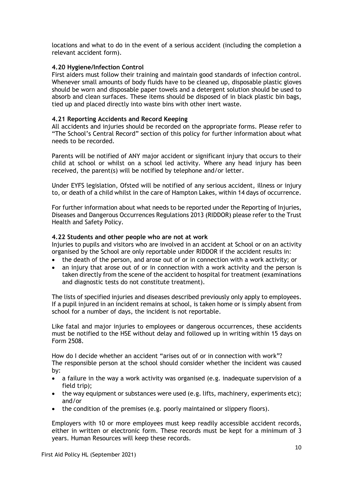locations and what to do in the event of a serious accident (including the completion a relevant accident form).

## **4.20 Hygiene/Infection Control**

First aiders must follow their training and maintain good standards of infection control. Whenever small amounts of body fluids have to be cleaned up, disposable plastic gloves should be worn and disposable paper towels and a detergent solution should be used to absorb and clean surfaces. These items should be disposed of in black plastic bin bags, tied up and placed directly into waste bins with other inert waste.

## **4.21 Reporting Accidents and Record Keeping**

All accidents and injuries should be recorded on the appropriate forms. Please refer to "The School's Central Record" section of this policy for further information about what needs to be recorded.

Parents will be notified of ANY major accident or significant injury that occurs to their child at school or whilst on a school led activity. Where any head injury has been received, the parent(s) will be notified by telephone and/or letter.

Under EYFS legislation, Ofsted will be notified of any serious accident, illness or injury to, or death of a child whilst in the care of Hampton Lakes, within 14 days of occurrence.

For further information about what needs to be reported under the Reporting of Injuries, Diseases and Dangerous Occurrences Regulations 2013 (RIDDOR) please refer to the Trust Health and Safety Policy.

### **4.22 Students and other people who are not at work**

Injuries to pupils and visitors who are involved in an accident at School or on an activity organised by the School are only reportable under RIDDOR if the accident results in:

- the death of the person, and arose out of or in connection with a work activity; or
- an injury that arose out of or in connection with a work activity and the person is taken directly from the scene of the accident to hospital for treatment (examinations and diagnostic tests do not constitute treatment).

The lists of specified injuries and diseases described previously only apply to employees. If a pupil injured in an incident remains at school, is taken home or is simply absent from school for a number of days, the incident is not reportable.

Like fatal and major injuries to employees or dangerous occurrences, these accidents must be notified to the HSE without delay and followed up in writing within 15 days on Form 2508.

How do I decide whether an accident "arises out of or in connection with work"? The responsible person at the school should consider whether the incident was caused by:

- a failure in the way a work activity was organised (e.g. inadequate supervision of a field trip);
- the way equipment or substances were used (e.g. lifts, machinery, experiments etc); and/or
- the condition of the premises (e.g. poorly maintained or slippery floors).

Employers with 10 or more employees must keep readily accessible accident records, either in written or electronic form. These records must be kept for a minimum of 3 years. Human Resources will keep these records.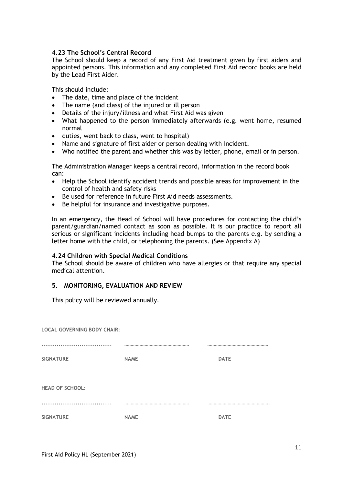# **4.23 The School's Central Record**

The School should keep a record of any First Aid treatment given by first aiders and appointed persons. This information and any completed First Aid record books are held by the Lead First Aider.

This should include:

- The date, time and place of the incident
- The name (and class) of the injured or ill person
- Details of the injury/illness and what First Aid was given
- What happened to the person immediately afterwards (e.g. went home, resumed normal
- duties, went back to class, went to hospital)
- Name and signature of first aider or person dealing with incident.
- Who notified the parent and whether this was by letter, phone, email or in person.

The Administration Manager keeps a central record, information in the record book can:

- Help the School identify accident trends and possible areas for improvement in the control of health and safety risks
- Be used for reference in future First Aid needs assessments.
- Be helpful for insurance and investigative purposes.

In an emergency, the Head of School will have procedures for contacting the child's parent/guardian/named contact as soon as possible. It is our practice to report all serious or significant incidents including head bumps to the parents e.g. by sending a letter home with the child, or telephoning the parents. (See Appendix A)

# **4.24 Children with Special Medical Conditions**

The School should be aware of children who have allergies or that require any special medical attention.

# **5. MONITORING, EVALUATION AND REVIEW**

This policy will be reviewed annually.

| <b>LOCAL GOVERNING BODY CHAIR:</b> |             |             |
|------------------------------------|-------------|-------------|
|                                    |             |             |
| <b>SIGNATURE</b>                   | <b>NAME</b> | <b>DATE</b> |
|                                    |             |             |
| <b>HEAD OF SCHOOL:</b>             |             |             |
|                                    |             |             |
| <b>SIGNATURE</b>                   | <b>NAME</b> | <b>DATE</b> |